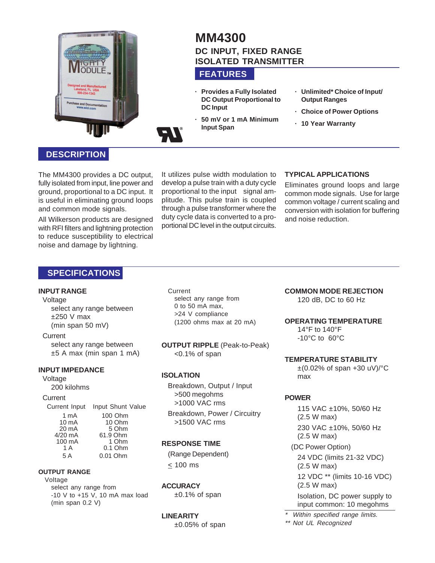

# **MM4300 DC INPUT, FIXED RANGE ISOLATED TRANSMITTER**

# **FEATURES**

- **· Provides a Fully Isolated DC Output Proportional to DC Input**
- **· 50 mV or 1 mA Minimum Input Span**
- **· Unlimited\* Choice of Input/ Output Ranges**
- **· Choice of Power Options**
- **· 10 Year Warranty**

## **DESCRIPTION**

The MM4300 provides a DC output, fully isolated from input, line power and ground, proportional to a DC input. It is useful in eliminating ground loops and common mode signals.

All Wilkerson products are designed with RFI filters and lightning protection to reduce susceptibility to electrical noise and damage by lightning.

It utilizes pulse width modulation to develop a pulse train with a duty cycle proportional to the input signal amplitude. This pulse train is coupled through a pulse transformer where the duty cycle data is converted to a proportional DC level in the output circuits.

#### **TYPICAL APPLICATIONS**

Eliminates ground loops and large common mode signals. Use for large common voltage / current scaling and conversion with isolation for buffering and noise reduction.

# **SPECIFICATIONS**

#### **INPUT RANGE**

Voltage select any range between  $±250$  V max

# (min span 50 mV)

**Current** select any range between  $±5$  A max (min span 1 mA)

#### **INPUT IMPEDANCE**

Voltage

200 kilohms

#### **Current**

Current Input Input Shunt Value 1 mA 100 Ohm<br>10 mA 10 Ohm 10 mA 10 Ohm<br>20 mA 5 Ohm 20 mA 5 Ohm<br>4/20 mA 61.9 Ohm 61.9 Ohm<br>1 Ohm 100 mA 1 A 0.1 Ohm 5 A 0.01 Ohm

#### **OUTPUT RANGE**

Voltage select any range from -10 V to +15 V, 10 mA max load (min span 0.2 V)

Current select any range from 0 to 50 mA max, >24 V compliance (1200 ohms max at 20 mA)

**OUTPUT RIPPLE** (Peak-to-Peak) <0.1% of span

#### **ISOLATION**

Breakdown, Output / Input >500 megohms >1000 VAC rms

Breakdown, Power / Circuitry >1500 VAC rms

### **RESPONSE TIME**

(Range Dependent) < 100 ms

**ACCURACY** ±0.1% of span

#### **LINEARITY**

 $±0.05%$  of span

**COMMON MODE REJECTION** 120 dB, DC to 60 Hz

#### **OPERATING TEMPERATURE**

14°F to 140°F -10°C to 60°C

#### **TEMPERATURE STABILITY**

 $\pm$ (0.02% of span +30 uV)/ $^{\circ}$ C max

#### **POWER**

115 VAC ±10%, 50/60 Hz (2.5 W max) 230 VAC ±10%, 50/60 Hz (2.5 W max) (DC Power Option) 24 VDC (limits 21-32 VDC) (2.5 W max) 12 VDC \*\* (limits 10-16 VDC) (2.5 W max) Isolation, DC power supply to input common: 10 megohms

Within specified range limits. \*\* Not UL Recognized